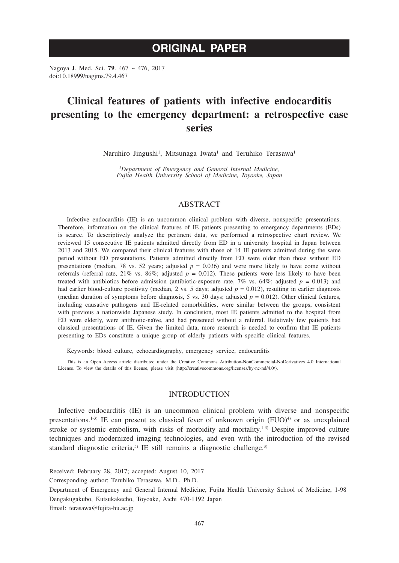# **ORIGINAL PAPER**

Nagoya J. Med. Sci. **79**. 467 ~ 476, 2017 doi:10.18999/nagjms.79.4.467

# **Clinical features of patients with infective endocarditis presenting to the emergency department: a retrospective case series**

Naruhiro Jingushi<sup>1</sup>, Mitsunaga Iwata<sup>1</sup> and Teruhiko Terasawa<sup>1</sup>

*1 Department of Emergency and General Internal Medicine, Fujita Health University School of Medicine, Toyoake, Japan*

# ABSTRACT

Infective endocarditis (IE) is an uncommon clinical problem with diverse, nonspecific presentations. Therefore, information on the clinical features of IE patients presenting to emergency departments (EDs) is scarce. To descriptively analyze the pertinent data, we performed a retrospective chart review. We reviewed 15 consecutive IE patients admitted directly from ED in a university hospital in Japan between 2013 and 2015. We compared their clinical features with those of 14 IE patients admitted during the same period without ED presentations. Patients admitted directly from ED were older than those without ED presentations (median, 78 vs. 52 years; adjusted  $p = 0.036$ ) and were more likely to have come without referrals (referral rate,  $21\%$  vs.  $86\%$ ; adjusted  $p = 0.012$ ). These patients were less likely to have been treated with antibiotics before admission (antibiotic-exposure rate,  $7\%$  vs. 64%; adjusted  $p = 0.013$ ) and had earlier blood-culture positivity (median, 2 vs. 5 days; adjusted  $p = 0.012$ ), resulting in earlier diagnosis (median duration of symptoms before diagnosis, 5 vs. 30 days; adjusted  $p = 0.012$ ). Other clinical features, including causative pathogens and IE-related comorbidities, were similar between the groups, consistent with previous a nationwide Japanese study. In conclusion, most IE patients admitted to the hospital from ED were elderly, were antibiotic-naïve, and had presented without a referral. Relatively few patients had classical presentations of IE. Given the limited data, more research is needed to confirm that IE patients presenting to EDs constitute a unique group of elderly patients with specific clinical features.

Keywords: blood culture, echocardiography, emergency service, endocarditis

This is an Open Access article distributed under the Creative Commons Attribution-NonCommercial-NoDerivatives 4.0 International License. To view the details of this license, please visit (http://creativecommons.org/licenses/by-nc-nd/4.0/).

# INTRODUCTION

Infective endocarditis (IE) is an uncommon clinical problem with diverse and nonspecific presentations.<sup>1-3)</sup> IE can present as classical fever of unknown origin  $(FUO)^{4}$  or as unexplained stroke or systemic embolism, with risks of morbidity and mortality.<sup>1-3)</sup> Despite improved culture techniques and modernized imaging technologies, and even with the introduction of the revised standard diagnostic criteria,<sup>5)</sup> IE still remains a diagnostic challenge.<sup>3)</sup>

Received: February 28, 2017; accepted: August 10, 2017

Corresponding author: Teruhiko Terasawa, M.D., Ph.D.

Department of Emergency and General Internal Medicine, Fujita Health University School of Medicine, 1-98 Dengakugakubo, Kutsukakecho, Toyoake, Aichi 470-1192 Japan

Email: terasawa@fujita-hu.ac.jp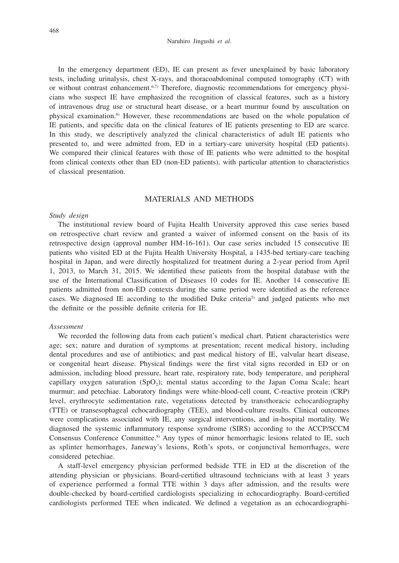#### Naruhiro Jingushi *et al.*

In the emergency department (ED), IE can present as fever unexplained by basic laboratory tests, including urinalysis, chest X-rays, and thoracoabdominal computed tomography (CT) with or without contrast enhancement. $6,7$ ) Therefore, diagnostic recommendations for emergency physicians who suspect IE have emphasized the recognition of classical features, such as a history of intravenous drug use or structural heart disease, or a heart murmur found by auscultation on physical examination.6) However, these recommendations are based on the whole population of IE patients, and specific data on the clinical features of IE patients presenting to ED are scarce. In this study, we descriptively analyzed the clinical characteristics of adult IE patients who presented to, and were admitted from, ED in a tertiary-care university hospital (ED patients). We compared their clinical features with those of IE patients who were admitted to the hospital from clinical contexts other than ED (non-ED patients), with particular attention to characteristics of classical presentation.

# MATERIALS AND METHODS

#### *Study design*

The institutional review board of Fujita Health University approved this case series based on retrospective chart review and granted a waiver of informed consent on the basis of its retrospective design (approval number HM-16-161). Our case series included 15 consecutive IE patients who visited ED at the Fujita Health University Hospital, a 1435-bed tertiary-care teaching hospital in Japan, and were directly hospitalized for treatment during a 2-year period from April 1, 2013, to March 31, 2015. We identified these patients from the hospital database with the use of the International Classification of Diseases 10 codes for IE. Another 14 consecutive IE patients admitted from non-ED contexts during the same period were identified as the reference cases. We diagnosed IE according to the modified Duke criteria<sup>5</sup> and judged patients who met the definite or the possible definite criteria for IE.

## *Assessment*

We recorded the following data from each patient's medical chart. Patient characteristics were age; sex; nature and duration of symptoms at presentation; recent medical history, including dental procedures and use of antibiotics; and past medical history of IE, valvular heart disease, or congenital heart disease. Physical findings were the first vital signs recorded in ED or on admission, including blood pressure, heart rate, respiratory rate, body temperature, and peripheral capillary oxygen saturation  $(SpO<sub>2</sub>)$ ; mental status according to the Japan Coma Scale; heart murmur; and petechiae. Laboratory findings were white-blood-cell count, C-reactive protein (CRP) level, erythrocyte sedimentation rate, vegetations detected by transthoracic echocardiography (TTE) or transesophageal echocardiography (TEE), and blood-culture results. Clinical outcomes were complications associated with IE, any surgical interventions, and in-hospital mortality. We diagnosed the systemic inflammatory response syndrome (SIRS) according to the ACCP/SCCM Consensus Conference Committee.8) Any types of minor hemorrhagic lesions related to IE, such as splinter hemorrhages, Janeway's lesions, Roth's spots, or conjunctival hemorrhages, were considered petechiae.

A staff-level emergency physician performed bedside TTE in ED at the discretion of the attending physician or physicians. Board-certified ultrasound technicians with at least 3 years of experience performed a formal TTE within 3 days after admission, and the results were double-checked by board-certified cardiologists specializing in echocardiography. Board-certified cardiologists performed TEE when indicated. We defined a vegetation as an echocardiographi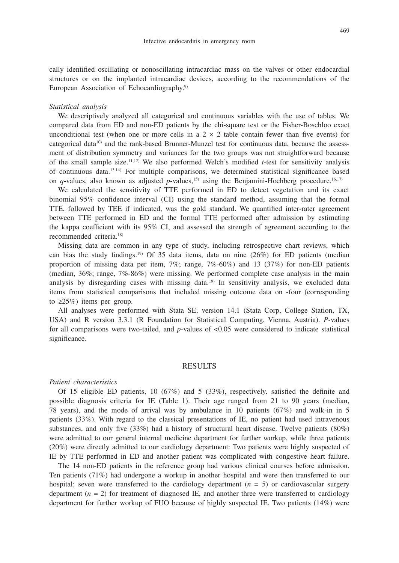cally identified oscillating or nonoscillating intracardiac mass on the valves or other endocardial structures or on the implanted intracardiac devices, according to the recommendations of the European Association of Echocardiography.<sup>9)</sup>

### *Statistical analysis*

We descriptively analyzed all categorical and continuous variables with the use of tables. We compared data from ED and non-ED patients by the chi-square test or the Fisher-Boschloo exact unconditional test (when one or more cells in a  $2 \times 2$  table contain fewer than five events) for categorical data<sup>10)</sup> and the rank-based Brunner-Munzel test for continuous data, because the assessment of distribution symmetry and variances for the two groups was not straightforward because of the small sample size.11,12) We also performed Welch's modified *t*-test for sensitivity analysis of continuous data.13,14) For multiple comparisons, we determined statistical significance based on *q*-values, also known as adjusted *p*-values,<sup>15)</sup> using the Benjamini-Hochberg procedure.<sup>16,17)</sup>

We calculated the sensitivity of TTE performed in ED to detect vegetation and its exact binomial 95% confidence interval (CI) using the standard method, assuming that the formal TTE, followed by TEE if indicated, was the gold standard. We quantified inter-rater agreement between TTE performed in ED and the formal TTE performed after admission by estimating the kappa coefficient with its 95% CI, and assessed the strength of agreement according to the recommended criteria.18)

Missing data are common in any type of study, including retrospective chart reviews, which can bias the study findings.19) Of 35 data items, data on nine (26%) for ED patients (median proportion of missing data per item,  $7\%$ ; range,  $7\%$ -60%) and 13 (37%) for non-ED patients (median, 36%; range, 7%-86%) were missing. We performed complete case analysis in the main analysis by disregarding cases with missing data.<sup>19)</sup> In sensitivity analysis, we excluded data items from statistical comparisons that included missing outcome data on -four (corresponding to  $\geq$ 25%) items per group.

All analyses were performed with Stata SE, version 14.1 (Stata Corp, College Station, TX, USA) and R version 3.3.1 (R Foundation for Statistical Computing, Vienna, Austria). *P-*values for all comparisons were two-tailed, and *p*-values of <0.05 were considered to indicate statistical significance.

## RESULTS

#### *Patient characteristics*

Of 15 eligible ED patients, 10 (67%) and 5 (33%), respectively. satisfied the definite and possible diagnosis criteria for IE (Table 1). Their age ranged from 21 to 90 years (median, 78 years), and the mode of arrival was by ambulance in 10 patients (67%) and walk-in in 5 patients (33%). With regard to the classical presentations of IE, no patient had used intravenous substances, and only five (33%) had a history of structural heart disease. Twelve patients (80%) were admitted to our general internal medicine department for further workup, while three patients (20%) were directly admitted to our cardiology department: Two patients were highly suspected of IE by TTE performed in ED and another patient was complicated with congestive heart failure.

The 14 non-ED patients in the reference group had various clinical courses before admission. Ten patients (71%) had undergone a workup in another hospital and were then transferred to our hospital; seven were transferred to the cardiology department (*n* = 5) or cardiovascular surgery department  $(n = 2)$  for treatment of diagnosed IE, and another three were transferred to cardiology department for further workup of FUO because of highly suspected IE. Two patients (14%) were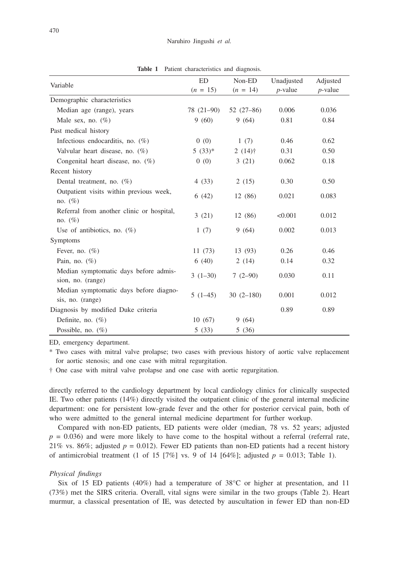**Table 1** Patient characteristics and diagnosis.

| Variable                                                   | <b>ED</b>  | Non-ED      | Unadjusted | Adjusted   |
|------------------------------------------------------------|------------|-------------|------------|------------|
|                                                            | $(n = 15)$ | $(n = 14)$  | $p$ -value | $p$ -value |
| Demographic characteristics                                |            |             |            |            |
| Median age (range), years                                  | 78 (21-90) | $52(27-86)$ | 0.006      | 0.036      |
| Male sex, no. $(\%)$                                       | 9(60)      | 9(64)       | 0.81       | 0.84       |
| Past medical history                                       |            |             |            |            |
| Infectious endocarditis, no. $(\%)$                        | 0(0)       | 1(7)        | 0.46       | 0.62       |
| Valvular heart disease, no. $(\%)$                         | $5(33)*$   | $2(14)$ †   | 0.31       | 0.50       |
| Congenital heart disease, no. $(\%)$                       | 0(0)       | 3(21)       | 0.062      | 0.18       |
| Recent history                                             |            |             |            |            |
| Dental treatment, no. $(\%)$                               | 4(33)      | 2(15)       | 0.30       | 0.50       |
| Outpatient visits within previous week,<br>no. $(\%)$      | 6(42)      | 12 (86)     | 0.021      | 0.083      |
| Referral from another clinic or hospital,<br>no. $(\%)$    | 3(21)      | 12 (86)     | < 0.001    | 0.012      |
| Use of antibiotics, no. $(\%)$                             | 1(7)       | 9(64)       | 0.002      | 0.013      |
| Symptoms                                                   |            |             |            |            |
| Fever, no. $(\%)$                                          | 11(73)     | 13 (93)     | 0.26       | 0.46       |
| Pain, no. $(\%)$                                           | 6(40)      | 2(14)       | 0.14       | 0.32       |
| Median symptomatic days before admis-<br>sion, no. (range) | $3(1-30)$  | $7(2-90)$   | 0.030      | 0.11       |
| Median symptomatic days before diagno-<br>sis, no. (range) | $5(1-45)$  | $30(2-180)$ | 0.001      | 0.012      |
| Diagnosis by modified Duke criteria                        |            |             | 0.89       | 0.89       |
| Definite, no. $(\%)$                                       | 10(67)     | 9(64)       |            |            |
| Possible, no. $(\%)$                                       | 5(33)      | 5(36)       |            |            |

ED, emergency department.

\* Two cases with mitral valve prolapse; two cases with previous history of aortic valve replacement for aortic stenosis; and one case with mitral regurgitation.

† One case with mitral valve prolapse and one case with aortic regurgitation.

directly referred to the cardiology department by local cardiology clinics for clinically suspected IE. Two other patients (14%) directly visited the outpatient clinic of the general internal medicine department: one for persistent low-grade fever and the other for posterior cervical pain, both of who were admitted to the general internal medicine department for further workup.

Compared with non-ED patients, ED patients were older (median, 78 vs. 52 years; adjusted  $p = 0.036$ ) and were more likely to have come to the hospital without a referral (referral rate, 21% vs. 86%; adjusted  $p = 0.012$ ). Fewer ED patients than non-ED patients had a recent history of antimicrobial treatment (1 of 15 [7%] vs. 9 of 14 [64%]; adjusted  $p = 0.013$ ; Table 1).

## *Physical findings*

Six of 15 ED patients (40%) had a temperature of 38°C or higher at presentation, and 11 (73%) met the SIRS criteria. Overall, vital signs were similar in the two groups (Table 2). Heart murmur, a classical presentation of IE, was detected by auscultation in fewer ED than non-ED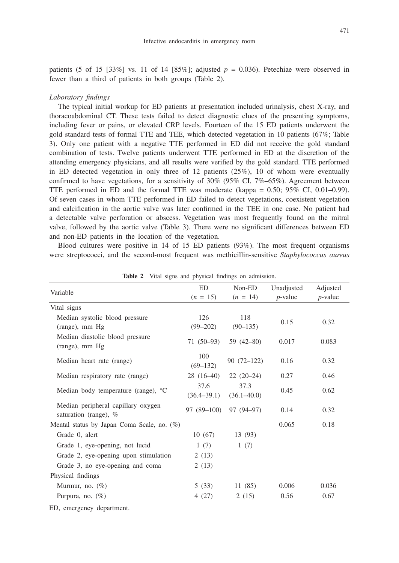471

patients (5 of 15 [33%] vs. 11 of 14 [85%]; adjusted  $p = 0.036$ ). Petechiae were observed in fewer than a third of patients in both groups (Table 2).

#### *Laboratory findings*

The typical initial workup for ED patients at presentation included urinalysis, chest X-ray, and thoracoabdominal CT. These tests failed to detect diagnostic clues of the presenting symptoms, including fever or pains, or elevated CRP levels. Fourteen of the 15 ED patients underwent the gold standard tests of formal TTE and TEE, which detected vegetation in 10 patients (67%; Table 3). Only one patient with a negative TTE performed in ED did not receive the gold standard combination of tests. Twelve patients underwent TTE performed in ED at the discretion of the attending emergency physicians, and all results were verified by the gold standard. TTE performed in ED detected vegetation in only three of 12 patients (25%), 10 of whom were eventually confirmed to have vegetations, for a sensitivity of  $30\%$  (95% CI,  $7\%$ –65%). Agreement between TTE performed in ED and the formal TTE was moderate (kappa = 0.50; 95% CI, 0.01–0.99). Of seven cases in whom TTE performed in ED failed to detect vegetations, coexistent vegetation and calcification in the aortic valve was later confirmed in the TEE in one case. No patient had a detectable valve perforation or abscess. Vegetation was most frequently found on the mitral valve, followed by the aortic valve (Table 3). There were no significant differences between ED and non-ED patients in the location of the vegetation.

Blood cultures were positive in 14 of 15 ED patients (93%). The most frequent organisms were streptococci, and the second-most frequent was methicillin-sensitive *Staphylococcus aureus*

| Variable                                                      | ED                      | Non-ED                  | Unadjusted | Adjusted   |
|---------------------------------------------------------------|-------------------------|-------------------------|------------|------------|
|                                                               | $(n = 15)$              | $(n = 14)$              | $p$ -value | $p$ -value |
| Vital signs                                                   |                         |                         |            |            |
| Median systolic blood pressure<br>(range), mm Hg              | 126<br>$(99 - 202)$     | 118<br>$(90-135)$       | 0.15       | 0.32       |
| Median diastolic blood pressure<br>(range), mm Hg             | $71(50-93)$             | $59(42 - 80)$           | 0.017      | 0.083      |
| Median heart rate (range)                                     | 100<br>$(69 - 132)$     | $90(72-122)$            | 0.16       | 0.32       |
| Median respiratory rate (range)                               | $28(16-40)$             | $22(20-24)$             | 0.27       | 0.46       |
| Median body temperature (range), $^{\circ}C$                  | 37.6<br>$(36.4 - 39.1)$ | 37.3<br>$(36.1 - 40.0)$ | 0.45       | 0.62       |
| Median peripheral capillary oxygen<br>saturation (range), $%$ | 97 (89-100)             | 97 (94-97)              | 0.14       | 0.32       |
| Mental status by Japan Coma Scale, no. $(\%)$                 |                         |                         | 0.065      | 0.18       |
| Grade 0, alert                                                | 10(67)                  | 13 (93)                 |            |            |
| Grade 1, eye-opening, not lucid                               | 1(7)                    | 1(7)                    |            |            |
| Grade 2, eye-opening upon stimulation                         | 2(13)                   |                         |            |            |
| Grade 3, no eye-opening and coma                              | 2(13)                   |                         |            |            |
| Physical findings                                             |                         |                         |            |            |
| Murmur, no. $(\%)$                                            | 5(33)                   | 11(85)                  | 0.006      | 0.036      |
| Purpura, no. $(\%)$                                           | 4(27)                   | 2(15)                   | 0.56       | 0.67       |

**Table 2** Vital signs and physical findings on admission.

ED, emergency department.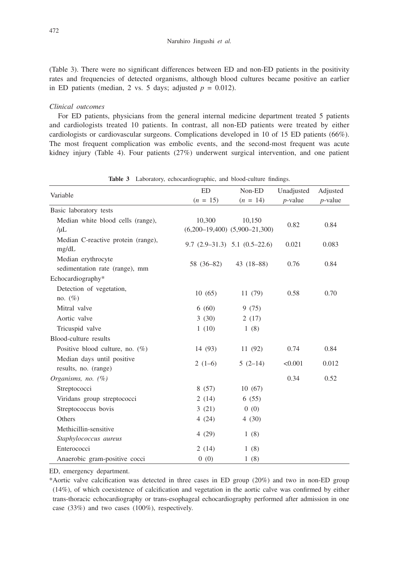(Table 3). There were no significant differences between ED and non-ED patients in the positivity rates and frequencies of detected organisms, although blood cultures became positive an earlier in ED patients (median, 2 vs. 5 days; adjusted  $p = 0.012$ ).

### *Clinical outcomes*

For ED patients, physicians from the general internal medicine department treated 5 patients and cardiologists treated 10 patients. In contrast, all non-ED patients were treated by either cardiologists or cardiovascular surgeons. Complications developed in 10 of 15 ED patients (66%). The most frequent complication was embolic events, and the second-most frequent was acute kidney injury (Table 4). Four patients (27%) underwent surgical intervention, and one patient

| Variable                                             | <b>ED</b>  | Non-ED                                      | Unadjusted | Adjusted   |
|------------------------------------------------------|------------|---------------------------------------------|------------|------------|
|                                                      | $(n = 15)$ | $(n = 14)$                                  | $p$ -value | $p$ -value |
| Basic laboratory tests                               |            |                                             |            |            |
| Median white blood cells (range),<br>$/\mu L$        | 10,300     | 10,150<br>$(6,200-19,400)$ $(5,900-21,300)$ | 0.82       | 0.84       |
| Median C-reactive protein (range),<br>mg/dL          |            | $9.7$ $(2.9-31.3)$ $5.1$ $(0.5-22.6)$       | 0.021      | 0.083      |
| Median erythrocyte<br>sedimentation rate (range), mm | 58 (36–82) | $43(18-88)$                                 | 0.76       | 0.84       |
| Echocardiography*                                    |            |                                             |            |            |
| Detection of vegetation,<br>no. $(\%)$               | 10(65)     | 11 (79)                                     | 0.58       | 0.70       |
| Mitral valve                                         | 6(60)      | 9(75)                                       |            |            |
| Aortic valve                                         | 3(30)      | 2(17)                                       |            |            |
| Tricuspid valve                                      | 1(10)      | 1(8)                                        |            |            |
| Blood-culture results                                |            |                                             |            |            |
| Positive blood culture, no. $(\%)$                   | 14 (93)    | 11(92)                                      | 0.74       | 0.84       |
| Median days until positive<br>results, no. (range)   | $2(1-6)$   | $5(2-14)$                                   | < 0.001    | 0.012      |
| Organisms, no. (%)                                   |            |                                             | 0.34       | 0.52       |
| Streptococci                                         | 8(57)      | 10(67)                                      |            |            |
| Viridans group streptococci                          | 2(14)      | 6(55)                                       |            |            |
| Streptococcus bovis                                  | 3(21)      | 0(0)                                        |            |            |
| Others                                               | 4(24)      | 4(30)                                       |            |            |
| Methicillin-sensitive<br>Staphylococcus aureus       | 4(29)      | 1(8)                                        |            |            |
| Enterococci                                          | 2(14)      | 1(8)                                        |            |            |
| Anaerobic gram-positive cocci                        | 0(0)       | 1(8)                                        |            |            |

**Table 3** Laboratory, echocardiographic, and blood-culture findings.

ED, emergency department.

\*Aortic valve calcification was detected in three cases in ED group (20%) and two in non-ED group (14%), of which coexistence of calcification and vegetation in the aortic calve was confirmed by either trans-thoracic echocardiography or trans-esophageal echocardiography performed after admission in one case (33%) and two cases (100%), respectively.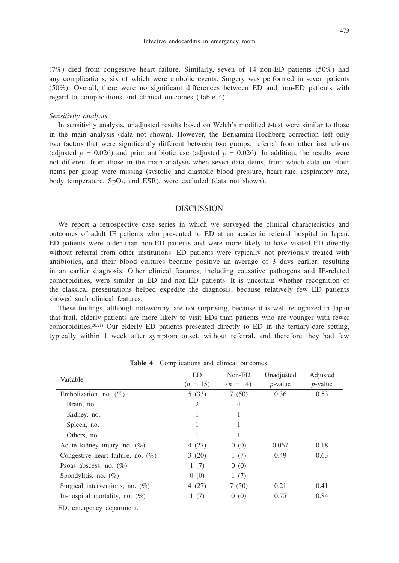(7%) died from congestive heart failure. Similarly, seven of 14 non-ED patients (50%) had any complications, six of which were embolic events. Surgery was performed in seven patients (50%). Overall, there were no significant differences between ED and non-ED patients with regard to complications and clinical outcomes (Table 4).

### *Sensitivity analysis*

In sensitivity analysis, unadjusted results based on Welch's modified *t*-test were similar to those in the main analysis (data not shown). However, the Benjamini-Hochberg correction left only two factors that were significantly different between two groups: referral from other institutions (adjusted  $p = 0.026$ ) and prior antibiotic use (adjusted  $p = 0.026$ ). In addition, the results were not different from those in the main analysis when seven data items, from which data on ≥four items per group were missing (systolic and diastolic blood pressure, heart rate, respiratory rate, body temperature,  $SpO<sub>2</sub>$ , and ESR), were excluded (data not shown).

## **DISCUSSION**

We report a retrospective case series in which we surveyed the clinical characteristics and outcomes of adult IE patients who presented to ED at an academic referral hospital in Japan. ED patients were older than non-ED patients and were more likely to have visited ED directly without referral from other institutions. ED patients were typically not previously treated with antibiotics, and their blood cultures became positive an average of 3 days earlier, resulting in an earlier diagnosis. Other clinical features, including causative pathogens and IE-related comorbidities, were similar in ED and non-ED patients. It is uncertain whether recognition of the classical presentations helped expedite the diagnosis, because relatively few ED patients showed such clinical features.

These findings, although noteworthy, are not surprising, because it is well recognized in Japan that frail, elderly patients are more likely to visit EDs than patients who are younger with fewer comorbidities.<sup>20,21)</sup> Our elderly ED patients presented directly to ED in the tertiary-care setting, typically within 1 week after symptom onset, without referral, and therefore they had few

|                                      | ED.            | Non-ED     | Unadjusted |            |
|--------------------------------------|----------------|------------|------------|------------|
| Variable                             |                |            |            | Adjusted   |
|                                      | $(n = 15)$     | $(n = 14)$ | $p$ -value | $p$ -value |
| Embolization, no. $(\%)$             | 5(33)          | 7(50)      | 0.36       | 0.53       |
| Brain, no.                           | $\overline{2}$ | 4          |            |            |
| Kidney, no.                          | 1              |            |            |            |
| Spleen, no.                          | 1              |            |            |            |
| Others, no.                          | 1              |            |            |            |
| Acute kidney injury, no. (%)         | 4(27)          | 0(0)       | 0.067      | 0.18       |
| Congestive heart failure, no. $(\%)$ | 3(20)          | 1(7)       | 0.49       | 0.63       |
| Psoas abscess, no. $(\%)$            | 1(7)           | 0(0)       |            |            |
| Spondylitis, no. $(\%)$              | 0(0)           | 1(7)       |            |            |
| Surgical interventions, no. $(\%)$   | 4(27)          | 7(50)      | 0.21       | 0.41       |
| In-hospital mortality, no. $(\%)$    | 1(7)           | 0(0)       | 0.75       | 0.84       |
|                                      |                |            |            |            |

**Table 4** Complications and clinical outcomes.

ED, emergency department.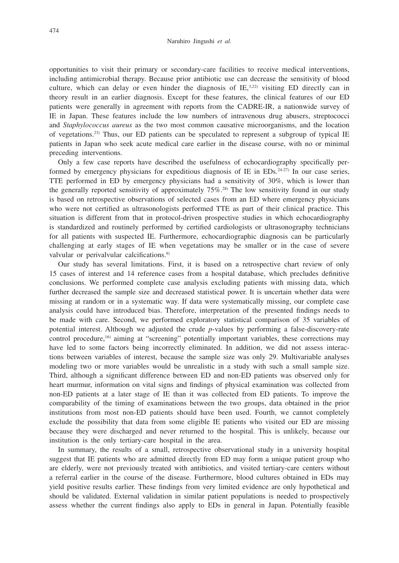opportunities to visit their primary or secondary-care facilities to receive medical interventions, including antimicrobial therapy. Because prior antibiotic use can decrease the sensitivity of blood culture, which can delay or even hinder the diagnosis of  $IE^{3,22}$  visiting ED directly can in theory result in an earlier diagnosis. Except for these features, the clinical features of our ED patients were generally in agreement with reports from the CADRE-IR, a nationwide survey of IE in Japan. These features include the low numbers of intravenous drug abusers, streptococci and *Staphylococcus aureus* as the two most common causative microorganisms, and the location of vegetations.23) Thus, our ED patients can be speculated to represent a subgroup of typical IE patients in Japan who seek acute medical care earlier in the disease course, with no or minimal preceding interventions.

Only a few case reports have described the usefulness of echocardiography specifically performed by emergency physicians for expeditious diagnosis of IE in EDs.<sup>24-27)</sup> In our case series, TTE performed in ED by emergency physicians had a sensitivity of 30%, which is lower than the generally reported sensitivity of approximately  $75\%$ <sup>28)</sup> The low sensitivity found in our study is based on retrospective observations of selected cases from an ED where emergency physicians who were not certified as ultrasonologists performed TTE as part of their clinical practice. This situation is different from that in protocol-driven prospective studies in which echocardiography is standardized and routinely performed by certified cardiologists or ultrasonography technicians for all patients with suspected IE. Furthermore, echocardiographic diagnosis can be particularly challenging at early stages of IE when vegetations may be smaller or in the case of severe valvular or perivalvular calcifications.<sup>9)</sup>

Our study has several limitations. First, it is based on a retrospective chart review of only 15 cases of interest and 14 reference cases from a hospital database, which precludes definitive conclusions. We performed complete case analysis excluding patients with missing data, which further decreased the sample size and decreased statistical power. It is uncertain whether data were missing at random or in a systematic way. If data were systematically missing, our complete case analysis could have introduced bias. Therefore, interpretation of the presented findings needs to be made with care. Second, we performed exploratory statistical comparison of 35 variables of potential interest. Although we adjusted the crude *p*-values by performing a false-discovery-rate control procedure,<sup>16)</sup> aiming at "screening" potentially important variables, these corrections may have led to some factors being incorrectly eliminated. In addition, we did not assess interactions between variables of interest, because the sample size was only 29. Multivariable analyses modeling two or more variables would be unrealistic in a study with such a small sample size. Third, although a significant difference between ED and non-ED patients was observed only for heart murmur, information on vital signs and findings of physical examination was collected from non-ED patients at a later stage of IE than it was collected from ED patients. To improve the comparability of the timing of examinations between the two groups, data obtained in the prior institutions from most non-ED patients should have been used. Fourth, we cannot completely exclude the possibility that data from some eligible IE patients who visited our ED are missing because they were discharged and never returned to the hospital. This is unlikely, because our institution is the only tertiary-care hospital in the area.

In summary, the results of a small, retrospective observational study in a university hospital suggest that IE patients who are admitted directly from ED may form a unique patient group who are elderly, were not previously treated with antibiotics, and visited tertiary-care centers without a referral earlier in the course of the disease. Furthermore, blood cultures obtained in EDs may yield positive results earlier. These findings from very limited evidence are only hypothetical and should be validated. External validation in similar patient populations is needed to prospectively assess whether the current findings also apply to EDs in general in Japan. Potentially feasible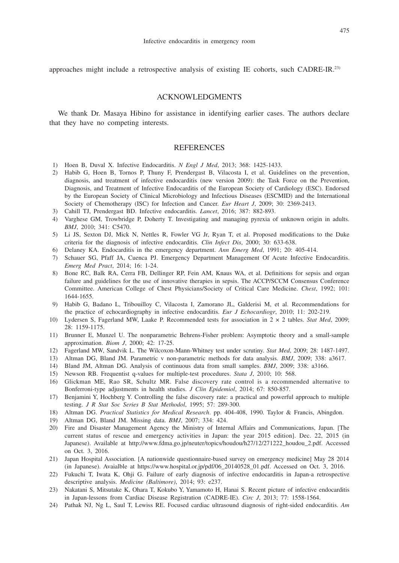approaches might include a retrospective analysis of existing IE cohorts, such CADRE-IR.23)

# ACKNOWLEDGMENTS

We thank Dr. Masaya Hibino for assistance in identifying earlier cases. The authors declare that they have no competing interests.

## REFERENCES

- 1) Hoen B, Duval X. Infective Endocarditis. *N Engl J Med*, 2013; 368: 1425-1433.
- 2) Habib G, Hoen B, Tornos P, Thuny F, Prendergast B, Vilacosta I, et al. Guidelines on the prevention, diagnosis, and treatment of infective endocarditis (new version 2009): the Task Force on the Prevention, Diagnosis, and Treatment of Infective Endocarditis of the European Society of Cardiology (ESC). Endorsed by the European Society of Clinical Microbiology and Infectious Diseases (ESCMID) and the International Society of Chemotherapy (ISC) for Infection and Cancer. *Eur Heart J*, 2009; 30: 2369-2413.
- 3) Cahill TJ, Prendergast BD. Infective endocarditis. *Lancet*, 2016; 387: 882-893.
- 4) Varghese GM, Trowbridge P, Doherty T. Investigating and managing pyrexia of unknown origin in adults. *BMJ*, 2010; 341: C5470.
- 5) Li JS, Sexton DJ, Mick N, Nettles R, Fowler VG Jr, Ryan T, et al. Proposed modifications to the Duke criteria for the diagnosis of infective endocarditis. *Clin Infect Dis*, 2000; 30: 633-638.
- 6) Delaney KA. Endocarditis in the emergency department. *Ann Emerg Med*, 1991; 20: 405-414.
- 7) Schauer SG, Pfaff JA, Cuenca PJ. Emergency Department Management Of Acute Infective Endocarditis. *Emerg Med Pract*, 2014; 16: 1-24.
- 8) Bone RC, Balk RA, Cerra FB, Dellinger RP, Fein AM, Knaus WA, et al. Definitions for sepsis and organ failure and guidelines for the use of innovative therapies in sepsis. The ACCP/SCCM Consensus Conference Committee. American College of Chest Physicians/Society of Critical Care Medicine. *Chest*, 1992; 101: 1644-1655.
- 9) Habib G, Badano L, Tribouilloy C, Vilacosta I, Zamorano JL, Galderisi M, et al. Recommendations for the practice of echocardiography in infective endocarditis. *Eur J Echocardiogr*, 2010; 11: 202-219.
- 10) Lydersen S, Fagerland MW, Laake P. Recommended tests for association in 2 × 2 tables. *Stat Med*, 2009; 28: 1159-1175.
- 11) Brunner E, Munzel U. The nonparametric Behrens-Fisher problem: Asymptotic theory and a small-sample approximation. *Biom J*, 2000; 42: 17-25.
- 12) Fagerland MW, Sandvik L. The Wilcoxon-Mann-Whitney test under scrutiny. *Stat Med*, 2009; 28: 1487-1497.
- 13) Altman DG, Bland JM. Parametric v non-parametric methods for data analysis. *BMJ*, 2009; 338: a3617.
- 14) Bland JM, Altman DG. Analysis of continuous data from small samples. *BMJ*, 2009; 338: a3166.
- 15) Newson RB. Frequentist q-values for multiple-test procedures. *Stata J*, 2010; 10: 568.
- 16) Glickman ME, Rao SR, Schultz MR. False discovery rate control is a recommended alternative to Bonferroni-type adjustments in health studies. *J Clin Epidemiol*, 2014; 67: 850-857.
- 17) Benjamini Y, Hochberg Y. Controlling the false discovery rate: a practical and powerful approach to multiple testing. *J R Stat Soc Series B Stat Methodol*, 1995; 57: 289-300.
- 18) Altman DG. *Practical Statistics for Medical Research*. pp. 404-408, 1990. Taylor & Francis, Abingdon.
- 19) Altman DG, Bland JM. Missing data. *BMJ*, 2007; 334: 424.
- 20) Fire and Disaster Management Agency the Ministry of Internal Affairs and Communications, Japan. [The current status of rescue and emergency activities in Japan: the year 2015 edition]. Dec. 22, 2015 (in Japanese). Available at http://www.fdma.go.jp/neuter/topics/houdou/h27/12/271222\_houdou\_2.pdf. Accessed on Oct. 3, 2016.
- 21) Japan Hospital Association. [A nationwide questionnaire-based survey on emergency medicine] May 28 2014 (in Japanese). Avaialble at https://www.hospital.or.jp/pdf/06\_20140528\_01.pdf. Accessed on Oct. 3, 2016.
- 22) Fukuchi T, Iwata K, Ohji G. Failure of early diagnosis of infective endocarditis in Japan-a retrospective descriptive analysis. *Medicine (Baltimore)*, 2014; 93: e237.
- 23) Nakatani S, Mitsutake K, Ohara T, Kokubo Y, Yamamoto H, Hanai S. Recent picture of infective endocarditis in Japan-lessons from Cardiac Disease Registration (CADRE-IE). *Circ J*, 2013; 77: 1558-1564.
- 24) Pathak NJ, Ng L, Saul T, Lewiss RE. Focused cardiac ultrasound diagnosis of right-sided endocarditis. *Am*